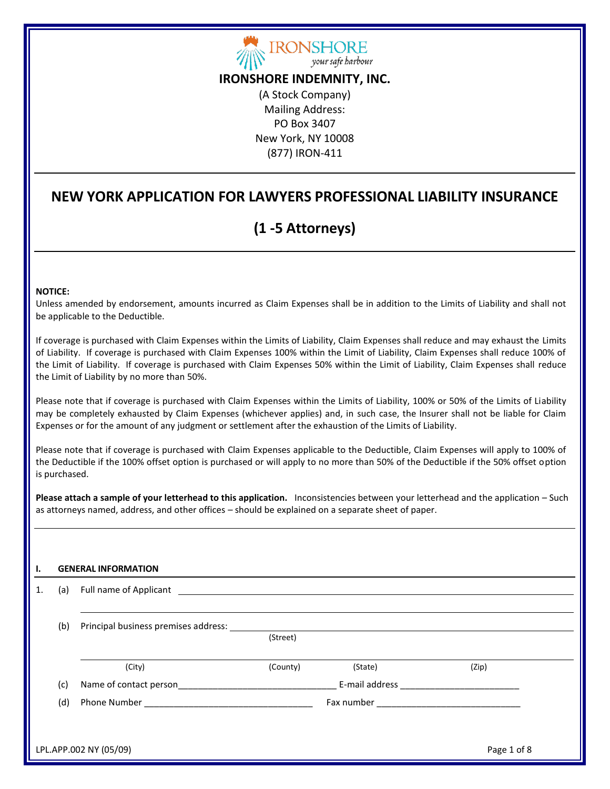

## **IRONSHORE INDEMNITY, INC.**

(A Stock Company) Mailing Address: PO Box 3407 New York, NY 10008 (877) IRON-411

## **NEW YORK APPLICATION FOR LAWYERS PROFESSIONAL LIABILITY INSURANCE**

# **(1 -5 Attorneys)**

#### **NOTICE:**

Unless amended by endorsement, amounts incurred as Claim Expenses shall be in addition to the Limits of Liability and shall not be applicable to the Deductible.

If coverage is purchased with Claim Expenses within the Limits of Liability, Claim Expenses shall reduce and may exhaust the Limits of Liability. If coverage is purchased with Claim Expenses 100% within the Limit of Liability, Claim Expenses shall reduce 100% of the Limit of Liability. If coverage is purchased with Claim Expenses 50% within the Limit of Liability, Claim Expenses shall reduce the Limit of Liability by no more than 50%.

Please note that if coverage is purchased with Claim Expenses within the Limits of Liability, 100% or 50% of the Limits of Liability may be completely exhausted by Claim Expenses (whichever applies) and, in such case, the Insurer shall not be liable for Claim Expenses or for the amount of any judgment or settlement after the exhaustion of the Limits of Liability.

Please note that if coverage is purchased with Claim Expenses applicable to the Deductible, Claim Expenses will apply to 100% of the Deductible if the 100% offset option is purchased or will apply to no more than 50% of the Deductible if the 50% offset option is purchased.

**Please attach a sample of your letterhead to this application.** Inconsistencies between your letterhead and the application – Such as attorneys named, address, and other offices – should be explained on a separate sheet of paper.

#### **I. GENERAL INFORMATION**

| 1. | (a) |                                                                                                                                                                                                                                |          |         |             |  |  |
|----|-----|--------------------------------------------------------------------------------------------------------------------------------------------------------------------------------------------------------------------------------|----------|---------|-------------|--|--|
|    | (b) | Principal business premises address: North and the control of the control of the control of the control of the control of the control of the control of the control of the control of the control of the control of the contro |          |         |             |  |  |
|    |     |                                                                                                                                                                                                                                | (Street) |         |             |  |  |
|    |     | (City)                                                                                                                                                                                                                         | (County) | (State) | (Zip)       |  |  |
|    | (c) | Name of contact person                                                                                                                                                                                                         |          |         |             |  |  |
|    | (d) |                                                                                                                                                                                                                                |          |         |             |  |  |
|    |     |                                                                                                                                                                                                                                |          |         |             |  |  |
|    |     | LPL.APP.002 NY (05/09)                                                                                                                                                                                                         |          |         | Page 1 of 8 |  |  |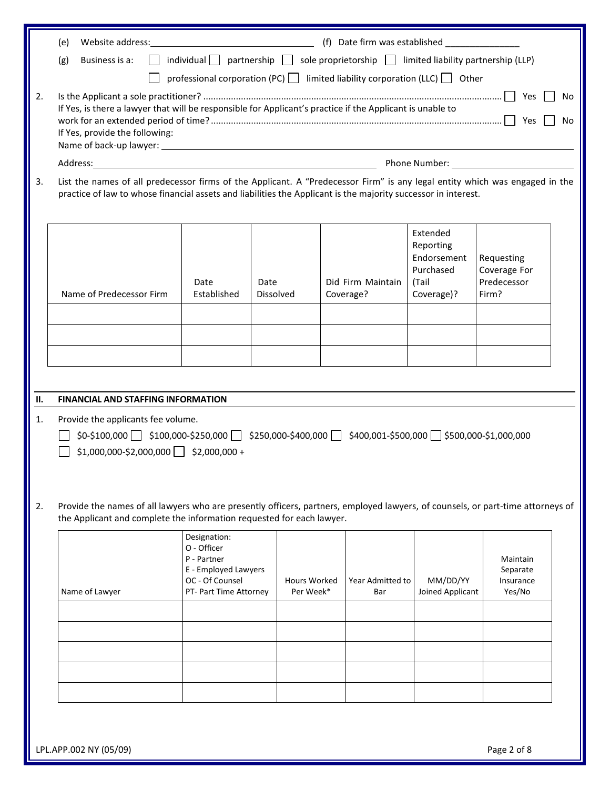|    | Website address: New York Changes and Changes and Changes and Changes and Changes and Changes and Changes and Changes and Changes and Changes and Changes and Changes and Changes and Changes and Changes and Changes and Chan<br>(e)         |                                                                                                                 |                           |                                |                                                                          |                                                    |  |  |  |
|----|-----------------------------------------------------------------------------------------------------------------------------------------------------------------------------------------------------------------------------------------------|-----------------------------------------------------------------------------------------------------------------|---------------------------|--------------------------------|--------------------------------------------------------------------------|----------------------------------------------------|--|--|--|
|    | Business is a:<br>$\mathsf{L}$<br>(g)                                                                                                                                                                                                         |                                                                                                                 |                           |                                |                                                                          |                                                    |  |  |  |
|    | professional corporation (PC) limited liability corporation (LLC) $\Box$ Other                                                                                                                                                                |                                                                                                                 |                           |                                |                                                                          |                                                    |  |  |  |
| 2. | No<br>If Yes, is there a lawyer that will be responsible for Applicant's practice if the Applicant is unable to<br>Yes<br>No<br>If Yes, provide the following:                                                                                |                                                                                                                 |                           |                                |                                                                          |                                                    |  |  |  |
|    |                                                                                                                                                                                                                                               |                                                                                                                 |                           |                                |                                                                          |                                                    |  |  |  |
| 3. | List the names of all predecessor firms of the Applicant. A "Predecessor Firm" is any legal entity which was engaged in the<br>practice of law to whose financial assets and liabilities the Applicant is the majority successor in interest. |                                                                                                                 |                           |                                |                                                                          |                                                    |  |  |  |
|    | Name of Predecessor Firm                                                                                                                                                                                                                      | Date<br>Established                                                                                             | Date<br><b>Dissolved</b>  | Did Firm Maintain<br>Coverage? | Extended<br>Reporting<br>Endorsement<br>Purchased<br>(Tail<br>Coverage)? | Requesting<br>Coverage For<br>Predecessor<br>Firm? |  |  |  |
|    |                                                                                                                                                                                                                                               |                                                                                                                 |                           |                                |                                                                          |                                                    |  |  |  |
|    |                                                                                                                                                                                                                                               |                                                                                                                 |                           |                                |                                                                          |                                                    |  |  |  |
|    |                                                                                                                                                                                                                                               |                                                                                                                 |                           |                                |                                                                          |                                                    |  |  |  |
|    |                                                                                                                                                                                                                                               |                                                                                                                 |                           |                                |                                                                          |                                                    |  |  |  |
| Н. | <b>FINANCIAL AND STAFFING INFORMATION</b>                                                                                                                                                                                                     |                                                                                                                 |                           |                                |                                                                          |                                                    |  |  |  |
| 1. | Provide the applicants fee volume.<br>$\frac{1}{2}$ \$100,000 $\sqrt{3}$ \$100,000-\$250,000 $\sqrt{3}$ \$250,000-\$400,000 $\sqrt{3}$ \$400,001-\$500,000 $\sqrt{3}$ \$500,000-\$1,000,000<br>$$1,000,000-\$2,000,000$ \$2,000,000 +         |                                                                                                                 |                           |                                |                                                                          |                                                    |  |  |  |
| 2. | Provide the names of all lawyers who are presently officers, partners, employed lawyers, of counsels, or part-time attorneys of<br>the Applicant and complete the information requested for each lawyer.                                      |                                                                                                                 |                           |                                |                                                                          |                                                    |  |  |  |
|    | Name of Lawyer                                                                                                                                                                                                                                | Designation:<br>O - Officer<br>P - Partner<br>E - Employed Lawyers<br>OC - Of Counsel<br>PT- Part Time Attorney | Hours Worked<br>Per Week* | Year Admitted to<br>Bar        | MM/DD/YY<br>Joined Applicant                                             | Maintain<br>Separate<br>Insurance<br>Yes/No        |  |  |  |
|    |                                                                                                                                                                                                                                               |                                                                                                                 |                           |                                |                                                                          |                                                    |  |  |  |
|    |                                                                                                                                                                                                                                               |                                                                                                                 |                           |                                |                                                                          |                                                    |  |  |  |
|    |                                                                                                                                                                                                                                               |                                                                                                                 |                           |                                |                                                                          |                                                    |  |  |  |
|    |                                                                                                                                                                                                                                               |                                                                                                                 |                           |                                |                                                                          |                                                    |  |  |  |
|    |                                                                                                                                                                                                                                               |                                                                                                                 |                           |                                |                                                                          |                                                    |  |  |  |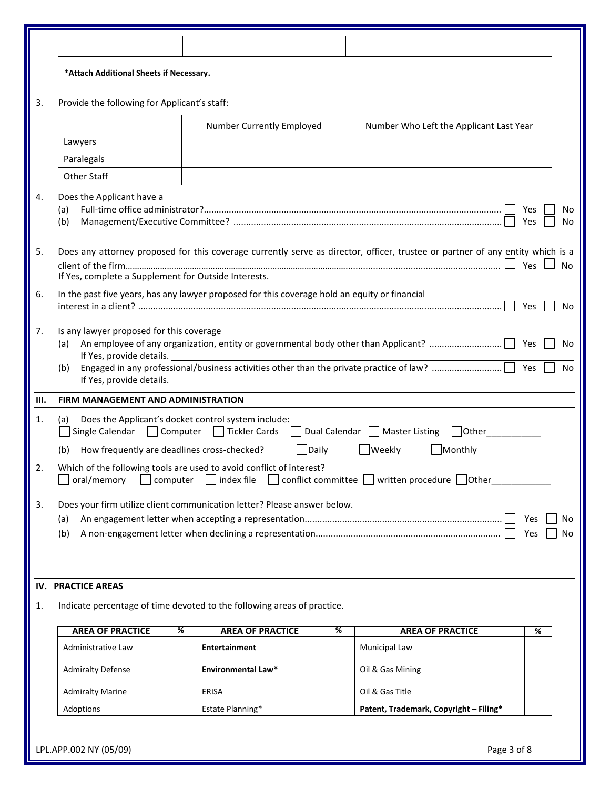|    | *Attach Additional Sheets if Necessary.                                                                                                                                                |                           |              |                  |                                         |     |           |  |  |
|----|----------------------------------------------------------------------------------------------------------------------------------------------------------------------------------------|---------------------------|--------------|------------------|-----------------------------------------|-----|-----------|--|--|
| 3. | Provide the following for Applicant's staff:                                                                                                                                           |                           |              |                  |                                         |     |           |  |  |
|    |                                                                                                                                                                                        | Number Currently Employed |              |                  | Number Who Left the Applicant Last Year |     |           |  |  |
|    | Lawyers                                                                                                                                                                                |                           |              |                  |                                         |     |           |  |  |
|    | Paralegals                                                                                                                                                                             |                           |              |                  |                                         |     |           |  |  |
|    | Other Staff                                                                                                                                                                            |                           |              |                  |                                         |     |           |  |  |
| 4. | Does the Applicant have a<br>(a)<br>Yes<br>No<br>Yes<br>(b)<br>No                                                                                                                      |                           |              |                  |                                         |     |           |  |  |
| 5. | Does any attorney proposed for this coverage currently serve as director, officer, trustee or partner of any entity which is a<br>If Yes, complete a Supplement for Outside Interests. |                           |              |                  |                                         |     | <b>No</b> |  |  |
| 6. | In the past five years, has any lawyer proposed for this coverage hold an equity or financial                                                                                          |                           |              |                  |                                         | Yes | No        |  |  |
| 7. | Is any lawyer proposed for this coverage<br>(a)<br>No<br>If Yes, provide details.<br>(b)<br>No<br>If Yes, provide details. Manual Assembly of Yes, provide details.                    |                           |              |                  |                                         |     |           |  |  |
| Ш. | FIRM MANAGEMENT AND ADMINISTRATION                                                                                                                                                     |                           |              |                  |                                         |     |           |  |  |
| 1. | Does the Applicant's docket control system include:<br>(a)<br>Single Calendar<br>Computer<br>Tickler Cards<br>  Dual Calendar   Master Listing<br>  Other                              |                           |              |                  |                                         |     |           |  |  |
|    | How frequently are deadlines cross-checked?<br>(b)                                                                                                                                     |                           | $\Box$ Daily | <b>Weekly</b>    | Monthly                                 |     |           |  |  |
| 2. | Which of the following tools are used to avoid conflict of interest?<br>oral/memory<br>conflict committee $\Box$ written procedure $\Box$ Other<br>index file<br>computer              |                           |              |                  |                                         |     |           |  |  |
| 3. | Does your firm utilize client communication letter? Please answer below.<br>(a)<br>Yes<br>No<br>(b)<br>Yes<br>No                                                                       |                           |              |                  |                                         |     |           |  |  |
|    | <b>IV. PRACTICE AREAS</b>                                                                                                                                                              |                           |              |                  |                                         |     |           |  |  |
| 1. | Indicate percentage of time devoted to the following areas of practice.                                                                                                                |                           |              |                  |                                         |     |           |  |  |
|    | <b>AREA OF PRACTICE</b><br>%                                                                                                                                                           | <b>AREA OF PRACTICE</b>   | ℅            |                  | <b>AREA OF PRACTICE</b>                 | %   |           |  |  |
|    | Administrative Law                                                                                                                                                                     | <b>Entertainment</b>      |              | Municipal Law    |                                         |     |           |  |  |
|    | <b>Admiralty Defense</b>                                                                                                                                                               | Environmental Law*        |              | Oil & Gas Mining |                                         |     |           |  |  |
|    | <b>Admiralty Marine</b>                                                                                                                                                                | ERISA                     |              | Oil & Gas Title  |                                         |     |           |  |  |
|    | Adoptions                                                                                                                                                                              | Estate Planning*          |              |                  | Patent, Trademark, Copyright - Filing*  |     |           |  |  |
|    |                                                                                                                                                                                        |                           |              |                  |                                         |     |           |  |  |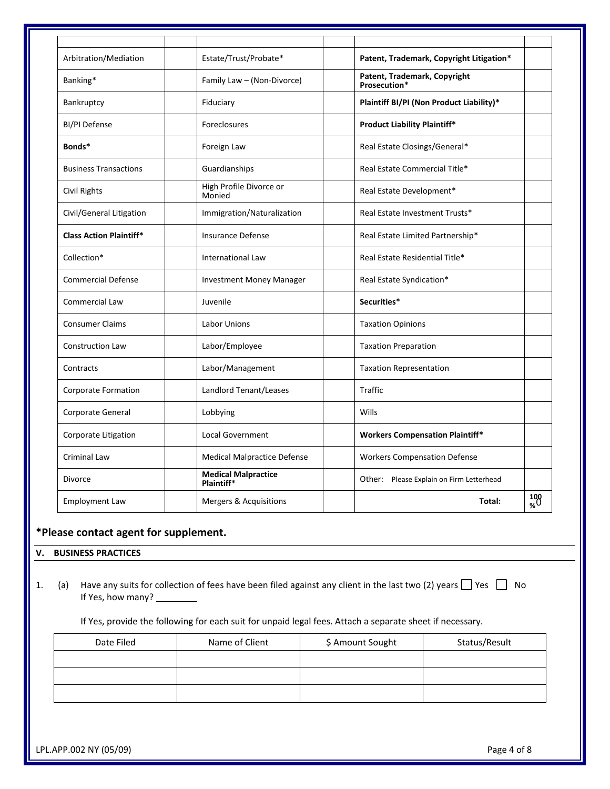| Arbitration/Mediation          | Estate/Trust/Probate*                    | Patent, Trademark, Copyright Litigation*     |               |
|--------------------------------|------------------------------------------|----------------------------------------------|---------------|
| Banking*                       | Family Law - (Non-Divorce)               | Patent, Trademark, Copyright<br>Prosecution* |               |
| Bankruptcy                     | Fiduciary                                | Plaintiff BI/PI (Non Product Liability)*     |               |
| <b>BI/PI Defense</b>           | Foreclosures                             | <b>Product Liability Plaintiff*</b>          |               |
| Bonds*                         | Foreign Law                              | Real Estate Closings/General*                |               |
| <b>Business Transactions</b>   | Guardianships                            | Real Estate Commercial Title*                |               |
| Civil Rights                   | High Profile Divorce or<br>Monied        | Real Estate Development*                     |               |
| Civil/General Litigation       | Immigration/Naturalization               | Real Estate Investment Trusts*               |               |
| <b>Class Action Plaintiff*</b> | <b>Insurance Defense</b>                 | Real Estate Limited Partnership*             |               |
| Collection*                    | <b>International Law</b>                 | Real Estate Residential Title*               |               |
| <b>Commercial Defense</b>      | <b>Investment Money Manager</b>          | Real Estate Syndication*                     |               |
| <b>Commercial Law</b>          | Juvenile                                 | Securities*                                  |               |
| <b>Consumer Claims</b>         | <b>Labor Unions</b>                      | <b>Taxation Opinions</b>                     |               |
| <b>Construction Law</b>        | Labor/Employee                           | <b>Taxation Preparation</b>                  |               |
| Contracts                      | Labor/Management                         | <b>Taxation Representation</b>               |               |
| Corporate Formation            | Landlord Tenant/Leases                   | <b>Traffic</b>                               |               |
| Corporate General              | Lobbying                                 | Wills                                        |               |
| Corporate Litigation           | <b>Local Government</b>                  | <b>Workers Compensation Plaintiff*</b>       |               |
| <b>Criminal Law</b>            | <b>Medical Malpractice Defense</b>       | <b>Workers Compensation Defense</b>          |               |
| <b>Divorce</b>                 | <b>Medical Malpractice</b><br>Plaintiff* | Other: Please Explain on Firm Letterhead     |               |
| <b>Employment Law</b>          | Mergers & Acquisitions                   | Total:                                       | $^{100}_{\%}$ |

### **\*Please contact agent for supplement.**

#### **V. BUSINESS PRACTICES**

1. (a) Have any suits for collection of fees have been filed against any client in the last two (2) years  $\Box$  Yes  $\Box$  No If Yes, how many?

If Yes, provide the following for each suit for unpaid legal fees. Attach a separate sheet if necessary.

| Date Filed | Name of Client | \$ Amount Sought | Status/Result |  |
|------------|----------------|------------------|---------------|--|
|            |                |                  |               |  |
|            |                |                  |               |  |
|            |                |                  |               |  |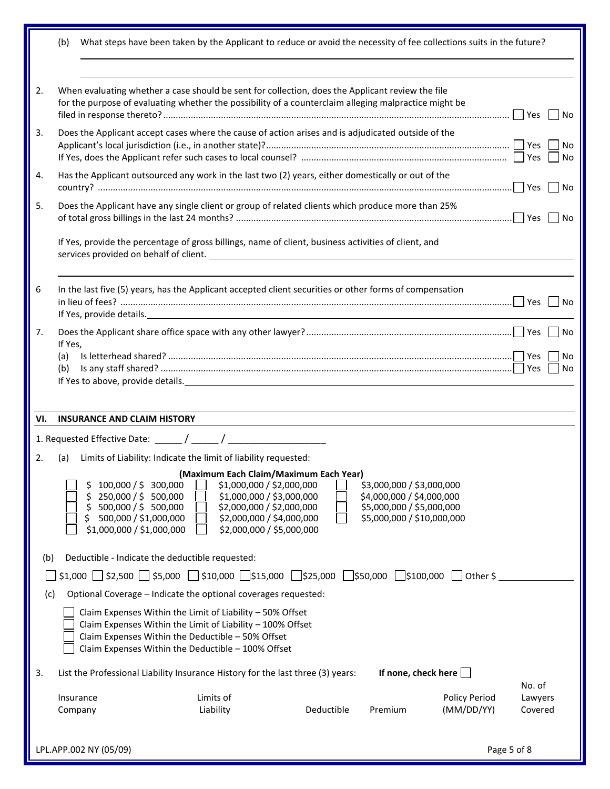|     | What steps have been taken by the Applicant to reduce or avoid the necessity of fee collections suits in the future?<br>(b)                                                                                                                                                                                                                                                                                                                |          |  |  |  |  |  |  |  |
|-----|--------------------------------------------------------------------------------------------------------------------------------------------------------------------------------------------------------------------------------------------------------------------------------------------------------------------------------------------------------------------------------------------------------------------------------------------|----------|--|--|--|--|--|--|--|
|     |                                                                                                                                                                                                                                                                                                                                                                                                                                            |          |  |  |  |  |  |  |  |
| 2.  | When evaluating whether a case should be sent for collection, does the Applicant review the file<br>for the purpose of evaluating whether the possibility of a counterclaim alleging malpractice might be                                                                                                                                                                                                                                  | No       |  |  |  |  |  |  |  |
| 3.  | Does the Applicant accept cases where the cause of action arises and is adjudicated outside of the                                                                                                                                                                                                                                                                                                                                         | No<br>No |  |  |  |  |  |  |  |
| 4.  | Has the Applicant outsourced any work in the last two (2) years, either domestically or out of the                                                                                                                                                                                                                                                                                                                                         | No       |  |  |  |  |  |  |  |
| 5.  | Does the Applicant have any single client or group of related clients which produce more than 25%                                                                                                                                                                                                                                                                                                                                          |          |  |  |  |  |  |  |  |
|     | If Yes, provide the percentage of gross billings, name of client, business activities of client, and                                                                                                                                                                                                                                                                                                                                       |          |  |  |  |  |  |  |  |
| 6   | In the last five (5) years, has the Applicant accepted client securities or other forms of compensation<br>If Yes, provide details. The contract of the contract of the contract of the contract of the contract of the contract of the contract of the contract of the contract of the contract of the contract of the contract of the c                                                                                                  | No       |  |  |  |  |  |  |  |
| 7.  | If Yes,<br>(a)                                                                                                                                                                                                                                                                                                                                                                                                                             | No<br>No |  |  |  |  |  |  |  |
|     | (b)<br>If Yes to above, provide details. The contract of the contract of the contract of the contract of the contract of the contract of the contract of the contract of the contract of the contract of the contract of the contract                                                                                                                                                                                                      | No       |  |  |  |  |  |  |  |
| VI. | <b>INSURANCE AND CLAIM HISTORY</b>                                                                                                                                                                                                                                                                                                                                                                                                         |          |  |  |  |  |  |  |  |
|     |                                                                                                                                                                                                                                                                                                                                                                                                                                            |          |  |  |  |  |  |  |  |
| 2.  | Limits of Liability: Indicate the limit of liability requested:<br>(a)                                                                                                                                                                                                                                                                                                                                                                     |          |  |  |  |  |  |  |  |
|     | (Maximum Each Claim/Maximum Each Year)<br>\$1,000,000 / \$2,000,000<br>\$3,000,000 / \$3,000,000<br>100,000 / \$ 300,000<br>\$1,000,000 / \$3,000,000<br>250,000 / \$ 500,000<br>\$4,000,000 / \$4,000,000<br>500,000 / \$ 500,000<br>\$2,000,000 / \$2,000,000<br>\$5,000,000 / \$5,000,000<br>500,000 / \$1,000,000<br>\$2,000,000 / \$4,000,000<br>\$5,000,000 / \$10,000,000<br>\$2,000,000 / \$5,000,000<br>\$1,000,000 / \$1,000,000 |          |  |  |  |  |  |  |  |
| (b) | Deductible - Indicate the deductible requested:                                                                                                                                                                                                                                                                                                                                                                                            |          |  |  |  |  |  |  |  |
|     | $\frac{1}{2}$ \$2,500 $\frac{1}{2}$ \$5,000 $\frac{1}{2}$ \$10,000 $\frac{1}{2}$ \$15,000 $\frac{1}{2}$ \$50,000 $\frac{1}{2}$ \$100,000<br>Other \$                                                                                                                                                                                                                                                                                       |          |  |  |  |  |  |  |  |
|     | Optional Coverage - Indicate the optional coverages requested:<br>(c)                                                                                                                                                                                                                                                                                                                                                                      |          |  |  |  |  |  |  |  |
|     | Claim Expenses Within the Limit of Liability - 50% Offset<br>Claim Expenses Within the Limit of Liability - 100% Offset<br>Claim Expenses Within the Deductible - 50% Offset<br>Claim Expenses Within the Deductible - 100% Offset                                                                                                                                                                                                         |          |  |  |  |  |  |  |  |
| 3.  | If none, check here<br>List the Professional Liability Insurance History for the last three (3) years:                                                                                                                                                                                                                                                                                                                                     | No. of   |  |  |  |  |  |  |  |
|     | Limits of<br>Policy Period<br>Insurance                                                                                                                                                                                                                                                                                                                                                                                                    | Lawyers  |  |  |  |  |  |  |  |
|     | (MM/DD/YY)<br>Liability<br>Deductible<br>Premium<br>Company                                                                                                                                                                                                                                                                                                                                                                                | Covered  |  |  |  |  |  |  |  |
|     | Page 5 of 8<br>LPL.APP.002 NY (05/09)                                                                                                                                                                                                                                                                                                                                                                                                      |          |  |  |  |  |  |  |  |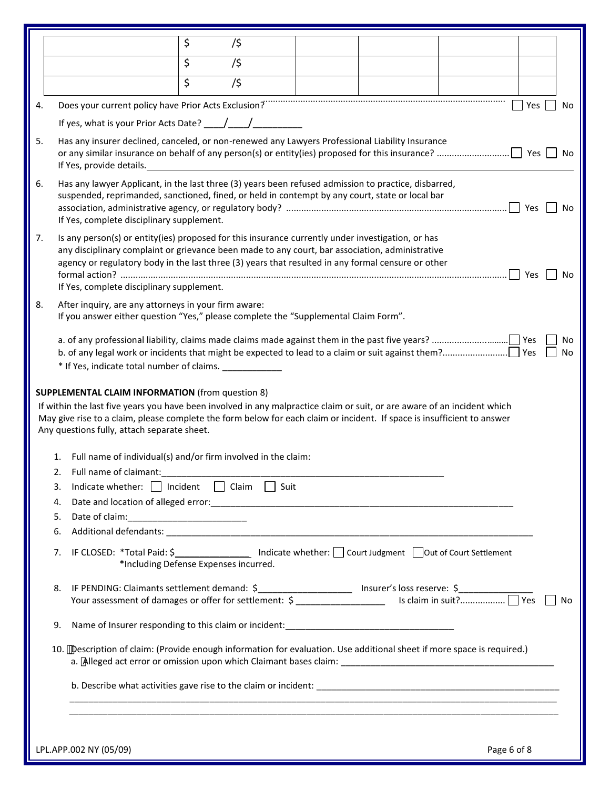|    |                                                                                                                                                                                                                                                                                                                                                                      |                                                                                                                                                                                                                                                                                                    | \$ | /\$ |  |  |             |           |  |
|----|----------------------------------------------------------------------------------------------------------------------------------------------------------------------------------------------------------------------------------------------------------------------------------------------------------------------------------------------------------------------|----------------------------------------------------------------------------------------------------------------------------------------------------------------------------------------------------------------------------------------------------------------------------------------------------|----|-----|--|--|-------------|-----------|--|
|    |                                                                                                                                                                                                                                                                                                                                                                      |                                                                                                                                                                                                                                                                                                    | \$ | /\$ |  |  |             |           |  |
|    |                                                                                                                                                                                                                                                                                                                                                                      |                                                                                                                                                                                                                                                                                                    | \$ | /\$ |  |  |             |           |  |
| 4. |                                                                                                                                                                                                                                                                                                                                                                      |                                                                                                                                                                                                                                                                                                    |    |     |  |  |             | Yes<br>No |  |
|    | Does your current policy have Prior Acts Exclusion?<br>If yes, what is your Prior Acts Date? $\frac{1}{\sqrt{1-\frac{1}{2}}}$                                                                                                                                                                                                                                        |                                                                                                                                                                                                                                                                                                    |    |     |  |  |             |           |  |
| 5. | Has any insurer declined, canceled, or non-renewed any Lawyers Professional Liability Insurance                                                                                                                                                                                                                                                                      |                                                                                                                                                                                                                                                                                                    |    |     |  |  |             |           |  |
|    | If Yes, provide details.                                                                                                                                                                                                                                                                                                                                             |                                                                                                                                                                                                                                                                                                    |    |     |  |  |             |           |  |
| 6. | Has any lawyer Applicant, in the last three (3) years been refused admission to practice, disbarred,<br>suspended, reprimanded, sanctioned, fined, or held in contempt by any court, state or local bar<br>Yes<br>No<br>If Yes, complete disciplinary supplement.                                                                                                    |                                                                                                                                                                                                                                                                                                    |    |     |  |  |             |           |  |
| 7. | Is any person(s) or entity(ies) proposed for this insurance currently under investigation, or has<br>any disciplinary complaint or grievance been made to any court, bar association, administrative<br>agency or regulatory body in the last three (3) years that resulted in any formal censure or other<br>Yes<br>No<br>If Yes, complete disciplinary supplement. |                                                                                                                                                                                                                                                                                                    |    |     |  |  |             |           |  |
| 8. |                                                                                                                                                                                                                                                                                                                                                                      | After inquiry, are any attorneys in your firm aware:<br>If you answer either question "Yes," please complete the "Supplemental Claim Form".                                                                                                                                                        |    |     |  |  |             |           |  |
|    | No<br>No<br>* If Yes, indicate total number of claims.                                                                                                                                                                                                                                                                                                               |                                                                                                                                                                                                                                                                                                    |    |     |  |  |             |           |  |
|    |                                                                                                                                                                                                                                                                                                                                                                      | If within the last five years you have been involved in any malpractice claim or suit, or are aware of an incident which<br>May give rise to a claim, please complete the form below for each claim or incident. If space is insufficient to answer<br>Any questions fully, attach separate sheet. |    |     |  |  |             |           |  |
|    | 1.                                                                                                                                                                                                                                                                                                                                                                   | Full name of individual(s) and/or firm involved in the claim:                                                                                                                                                                                                                                      |    |     |  |  |             |           |  |
|    | 2.                                                                                                                                                                                                                                                                                                                                                                   | Full name of claimant:                                                                                                                                                                                                                                                                             |    |     |  |  |             |           |  |
|    | 3.                                                                                                                                                                                                                                                                                                                                                                   | Indicate whether: Incident I Claim I Suit                                                                                                                                                                                                                                                          |    |     |  |  |             |           |  |
|    | 4.<br>5.                                                                                                                                                                                                                                                                                                                                                             |                                                                                                                                                                                                                                                                                                    |    |     |  |  |             |           |  |
|    | 6.                                                                                                                                                                                                                                                                                                                                                                   |                                                                                                                                                                                                                                                                                                    |    |     |  |  |             |           |  |
|    | 7.                                                                                                                                                                                                                                                                                                                                                                   | IF CLOSED: *Total Paid: \$___________________ Indicate whether: __ Court Judgment _____ Out of Court Settlement<br>*Including Defense Expenses incurred.                                                                                                                                           |    |     |  |  |             |           |  |
|    | 8.<br>No.                                                                                                                                                                                                                                                                                                                                                            |                                                                                                                                                                                                                                                                                                    |    |     |  |  |             |           |  |
|    | 9.                                                                                                                                                                                                                                                                                                                                                                   |                                                                                                                                                                                                                                                                                                    |    |     |  |  |             |           |  |
|    | 10. "Description of claim: (Provide enough information for evaluation. Use additional sheet if more space is required.)                                                                                                                                                                                                                                              |                                                                                                                                                                                                                                                                                                    |    |     |  |  |             |           |  |
|    |                                                                                                                                                                                                                                                                                                                                                                      |                                                                                                                                                                                                                                                                                                    |    |     |  |  |             |           |  |
|    |                                                                                                                                                                                                                                                                                                                                                                      |                                                                                                                                                                                                                                                                                                    |    |     |  |  |             |           |  |
|    |                                                                                                                                                                                                                                                                                                                                                                      | LPL.APP.002 NY (05/09)                                                                                                                                                                                                                                                                             |    |     |  |  | Page 6 of 8 |           |  |